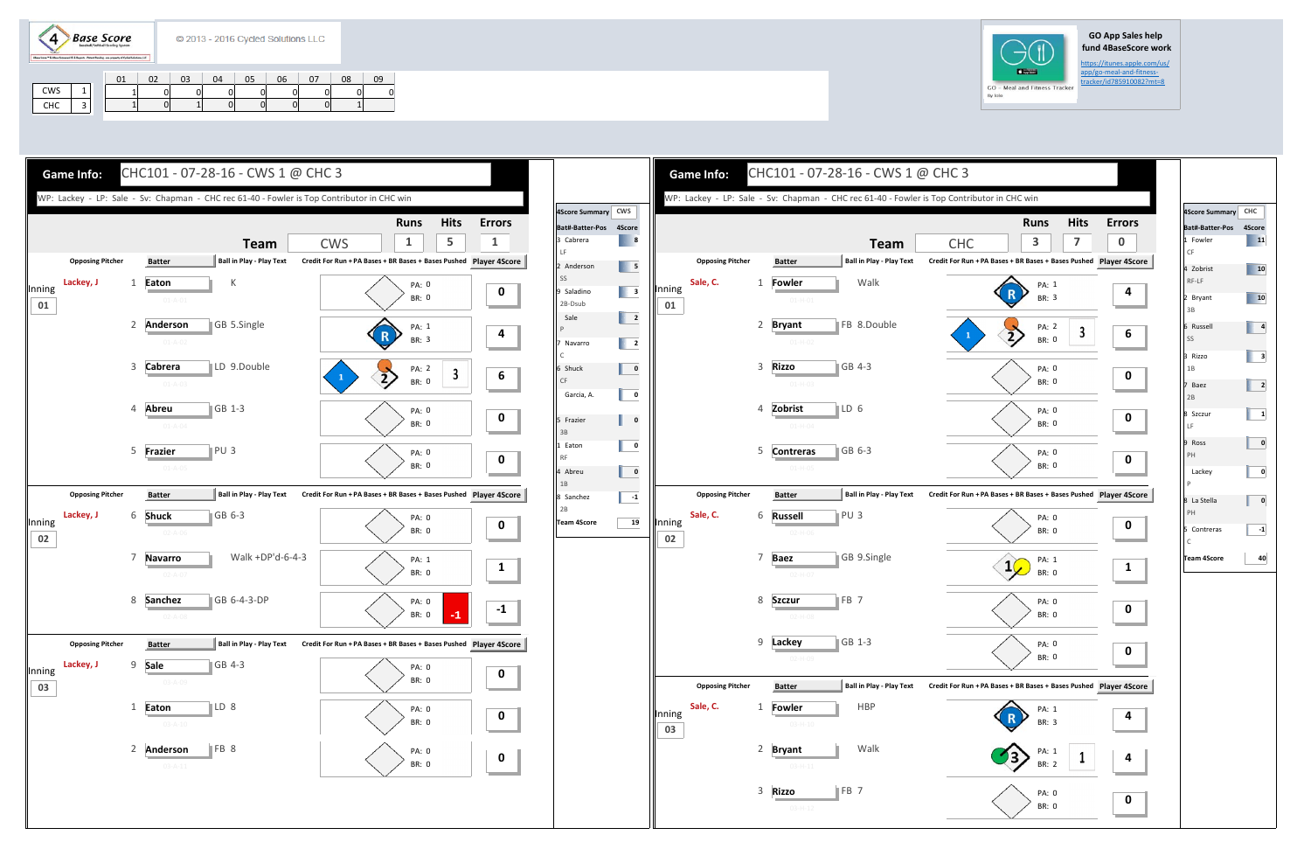$(4)$ **Base Score** 

## **GO App Sales help fund 4BaseScore work**

https://itunes.apple.com/us/

|     | 01 | 02 | 03 | 04 | 05 | 06 | 07 | 08 | 09 |
|-----|----|----|----|----|----|----|----|----|----|
| CWS |    |    |    |    |    |    |    |    |    |
| CHC |    |    |    |    |    |    |    |    |    |





| 4Score Summary CHC |                 |
|--------------------|-----------------|
| Bat#-Batter-Pos    | 4Score          |
| 1 Fowler           | $\overline{11}$ |
| $\mathsf{CF}$      |                 |
| 4 Zobrist          | 10              |
| RF-LF              |                 |
| 2 Bryant           | 10              |
| 3B                 |                 |
| 6 Russell          | 4               |
| SS                 |                 |
| 3 Rizzo            | 3               |
| 1B                 |                 |
| 7 Baez             |                 |
| 2B                 | 2               |
|                    |                 |
| 8 Szczur<br>LF     | 1               |
|                    |                 |
| 9 Ross             | 0               |
| PH                 |                 |
| Lackey             | 0               |
| P                  |                 |
| 8 La Stella        | 0               |
| PH                 |                 |
| 5 Contreras        | -1              |
| $\mathsf C$        |                 |
| <b>Team 4Score</b> | 40              |
|                    |                 |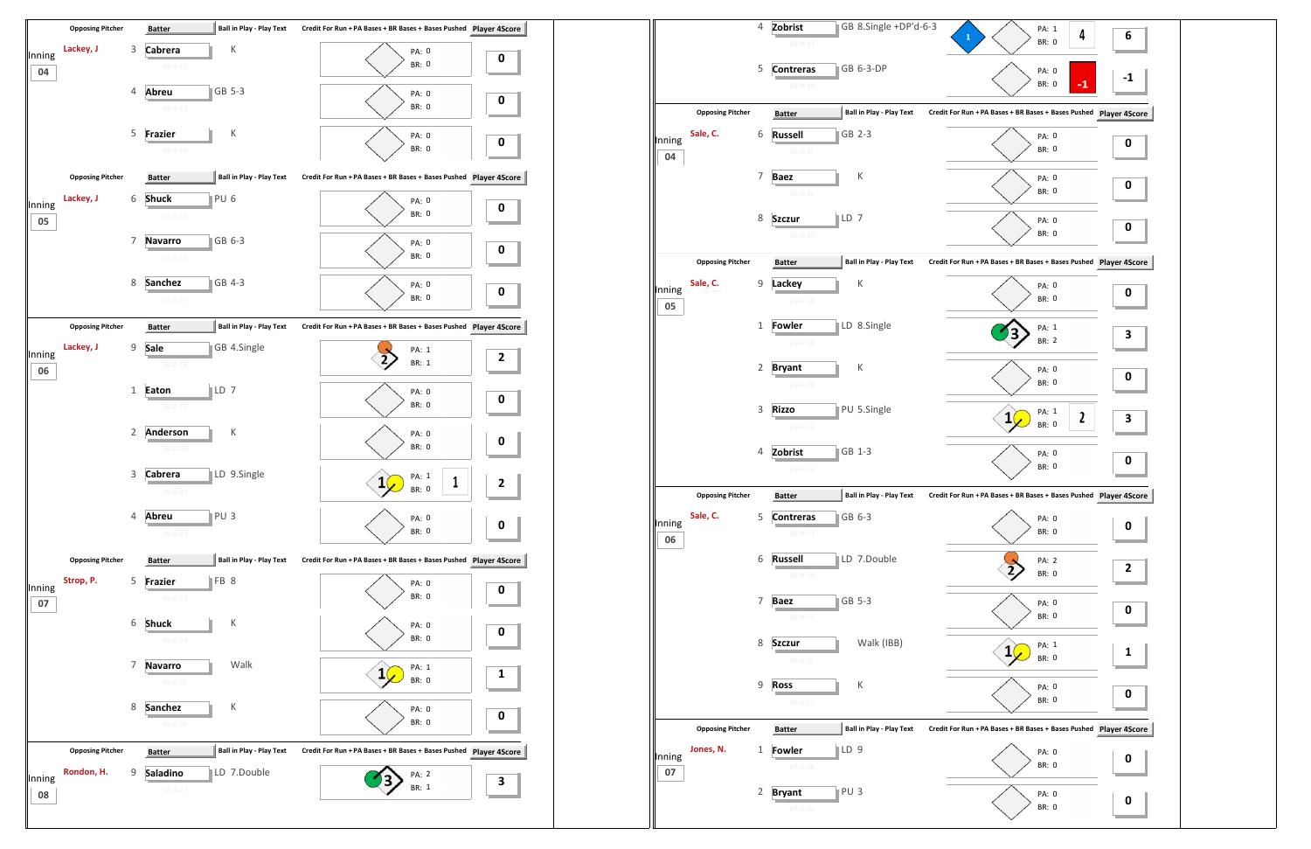

|                         | 4              | Zobrist<br>$03 - H - 13$          |            |                                                                                                                                                                                                                                                                                        | PA: 1<br>${\bf 1}$<br>BR: 0 | 4<br>6                                                                                                                                                                                                                                                           |
|-------------------------|----------------|-----------------------------------|------------|----------------------------------------------------------------------------------------------------------------------------------------------------------------------------------------------------------------------------------------------------------------------------------------|-----------------------------|------------------------------------------------------------------------------------------------------------------------------------------------------------------------------------------------------------------------------------------------------------------|
|                         | 5              | <b>Contreras</b><br>$03 - H - 14$ |            |                                                                                                                                                                                                                                                                                        | PA: 0<br><b>BR: 0</b>       | $-1$                                                                                                                                                                                                                                                             |
| <b>Opposing Pitcher</b> |                | <b>Batter</b>                     |            |                                                                                                                                                                                                                                                                                        |                             |                                                                                                                                                                                                                                                                  |
| Sale, C.                | 6              | <b>Russell</b><br>$04 - H - 15$   |            |                                                                                                                                                                                                                                                                                        | PA: 0<br><b>BR: 0</b>       | 0                                                                                                                                                                                                                                                                |
|                         | $\overline{7}$ | <b>Baez</b><br>$04 - H - 16$      | К          |                                                                                                                                                                                                                                                                                        | PA: 0<br>BR: 0              | 0                                                                                                                                                                                                                                                                |
|                         | 8              | <b>Szczur</b><br>$04 - H - 17$    |            |                                                                                                                                                                                                                                                                                        | PA: 0<br>BR: 0              | 0                                                                                                                                                                                                                                                                |
| <b>Opposing Pitcher</b> |                | <b>Batter</b>                     |            |                                                                                                                                                                                                                                                                                        |                             |                                                                                                                                                                                                                                                                  |
| Sale, C.                | 9              | Lackey<br>$05-H-18$               | К          |                                                                                                                                                                                                                                                                                        | PA: 0<br>BR: 0              | 0                                                                                                                                                                                                                                                                |
|                         | $\mathbf{1}$   | Fowler<br>$05 - H - 19$           |            |                                                                                                                                                                                                                                                                                        | PA: 1<br>BR: 2              | 3                                                                                                                                                                                                                                                                |
|                         | 2              | <b>Bryant</b><br>$05-H-20$        | К          |                                                                                                                                                                                                                                                                                        | PA: 0<br>BR: 0              | 0                                                                                                                                                                                                                                                                |
|                         | 3              | <b>Rizzo</b><br>$05-H-21$         |            |                                                                                                                                                                                                                                                                                        | PA: 1<br>1<br>BR: 0         | 2<br>3                                                                                                                                                                                                                                                           |
|                         | 4              | Zobrist<br>$05-H-22$              |            |                                                                                                                                                                                                                                                                                        | PA: 0<br>BR: 0              | 0                                                                                                                                                                                                                                                                |
| <b>Opposing Pitcher</b> |                | <b>Batter</b>                     |            |                                                                                                                                                                                                                                                                                        |                             |                                                                                                                                                                                                                                                                  |
| Sale, C.                | 5              | <b>Contreras</b><br>$06-H-23$     |            |                                                                                                                                                                                                                                                                                        | PA: 0<br>BR: 0              | 0                                                                                                                                                                                                                                                                |
|                         | 6              | <b>Russell</b><br>$06-H-24$       |            |                                                                                                                                                                                                                                                                                        | PA: 2<br>BR: 0              | $\overline{\mathbf{c}}$                                                                                                                                                                                                                                          |
|                         | $\overline{7}$ | <b>Baez</b><br>$06-H-25$          |            |                                                                                                                                                                                                                                                                                        | PA: 0<br>BR: 0              | 0                                                                                                                                                                                                                                                                |
|                         | 8              | <b>Szczur</b><br>$06-H-26$        | Walk (IBB) |                                                                                                                                                                                                                                                                                        | PA: 1<br>BR: 0              | 1                                                                                                                                                                                                                                                                |
|                         | 9              | <b>Ross</b><br>$06-H-27$          | К          |                                                                                                                                                                                                                                                                                        | PA: 0<br>BR: 0              | 0                                                                                                                                                                                                                                                                |
| <b>Opposing Pitcher</b> |                | <b>Batter</b>                     |            |                                                                                                                                                                                                                                                                                        |                             |                                                                                                                                                                                                                                                                  |
| Jones, N.               | 1              | Fowler<br>$07-H-28$               |            |                                                                                                                                                                                                                                                                                        | PA: 0<br>BR: 0              | 0                                                                                                                                                                                                                                                                |
|                         | 2              | <b>Bryant</b><br>$07 - H - 29$    |            |                                                                                                                                                                                                                                                                                        | PA: 0<br>BR: 0              | 0                                                                                                                                                                                                                                                                |
|                         |                |                                   |            | GB 6-3-DP<br><b>Ball in Play - Play Text</b><br>GB 2-3<br>$\ $ LD 7<br><b>Ball in Play - Play Text</b><br>LD 8.Single<br>PU 5.Single<br>GB 1-3<br>Ball in Play - Play Text<br>GB 6-3<br>LD 7.Double<br>GB 5-3<br><b>Ball in Play - Play Text</b><br>LD <sub>9</sub><br>PU <sub>3</sub> | GB 8.Single +DP'd-6-3       | Credit For Run + PA Bases + BR Bases + Bases Pushed Player 4S<br>Credit For Run + PA Bases + BR Bases + Bases Pushed Player 4S<br>Credit For Run + PA Bases + BR Bases + Bases Pushed Player 4S<br>Credit For Run + PA Bases + BR Bases + Bases Pushed Player 4S |